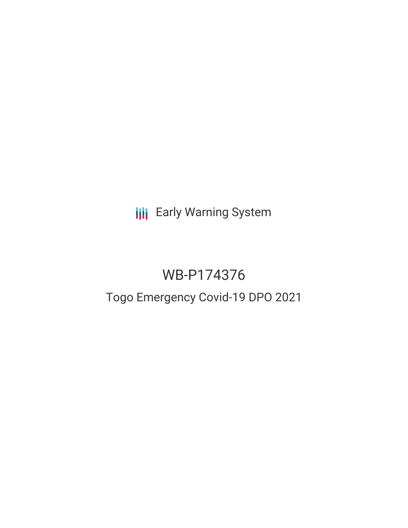**III** Early Warning System

# WB-P174376

## Togo Emergency Covid-19 DPO 2021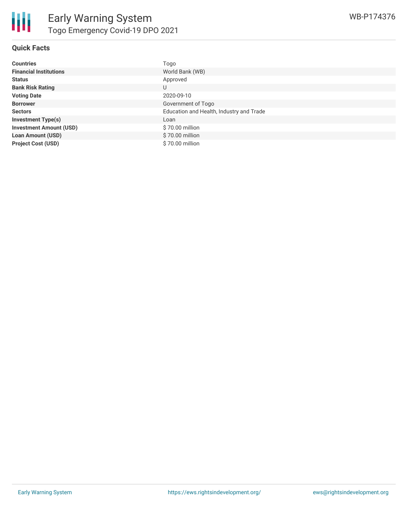

| <b>Countries</b>               | Togo                                     |
|--------------------------------|------------------------------------------|
| <b>Financial Institutions</b>  | World Bank (WB)                          |
| <b>Status</b>                  | Approved                                 |
| <b>Bank Risk Rating</b>        | U                                        |
| <b>Voting Date</b>             | 2020-09-10                               |
| <b>Borrower</b>                | Government of Togo                       |
| <b>Sectors</b>                 | Education and Health, Industry and Trade |
| <b>Investment Type(s)</b>      | Loan                                     |
| <b>Investment Amount (USD)</b> | \$70.00 million                          |
| <b>Loan Amount (USD)</b>       | \$70.00 million                          |
| <b>Project Cost (USD)</b>      | \$70.00 million                          |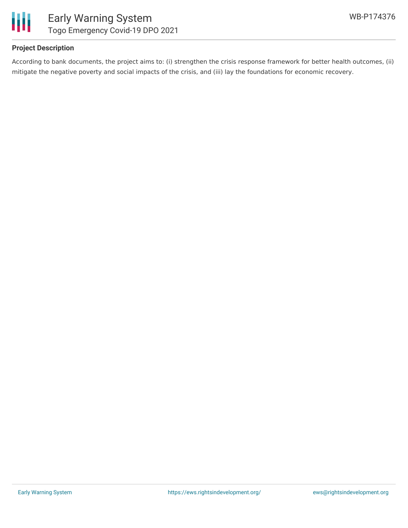



### **Project Description**

According to bank documents, the project aims to: (i) strengthen the crisis response framework for better health outcomes, (ii) mitigate the negative poverty and social impacts of the crisis, and (iii) lay the foundations for economic recovery.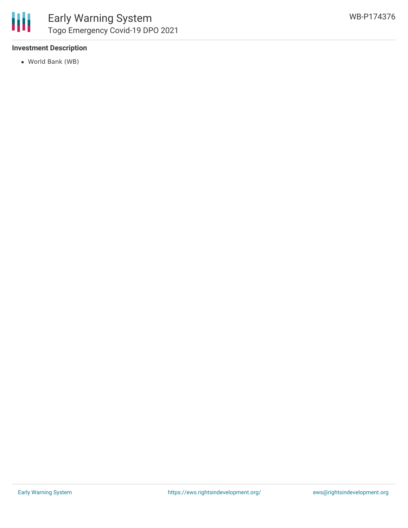

#### **Investment Description**

World Bank (WB)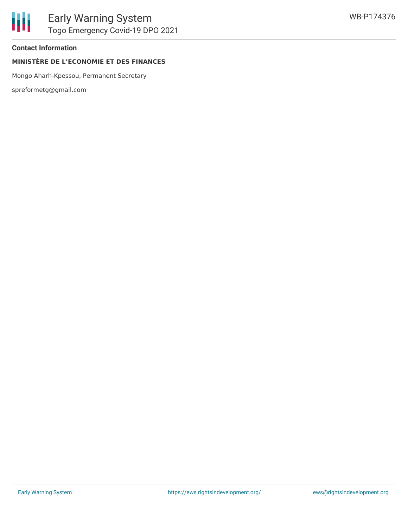

#### **Contact Information**

### **MINISTÈRE DE L'ECONOMIE ET DES FINANCES**

Mongo Aharh-Kpessou, Permanent Secretary

spreformetg@gmail.com